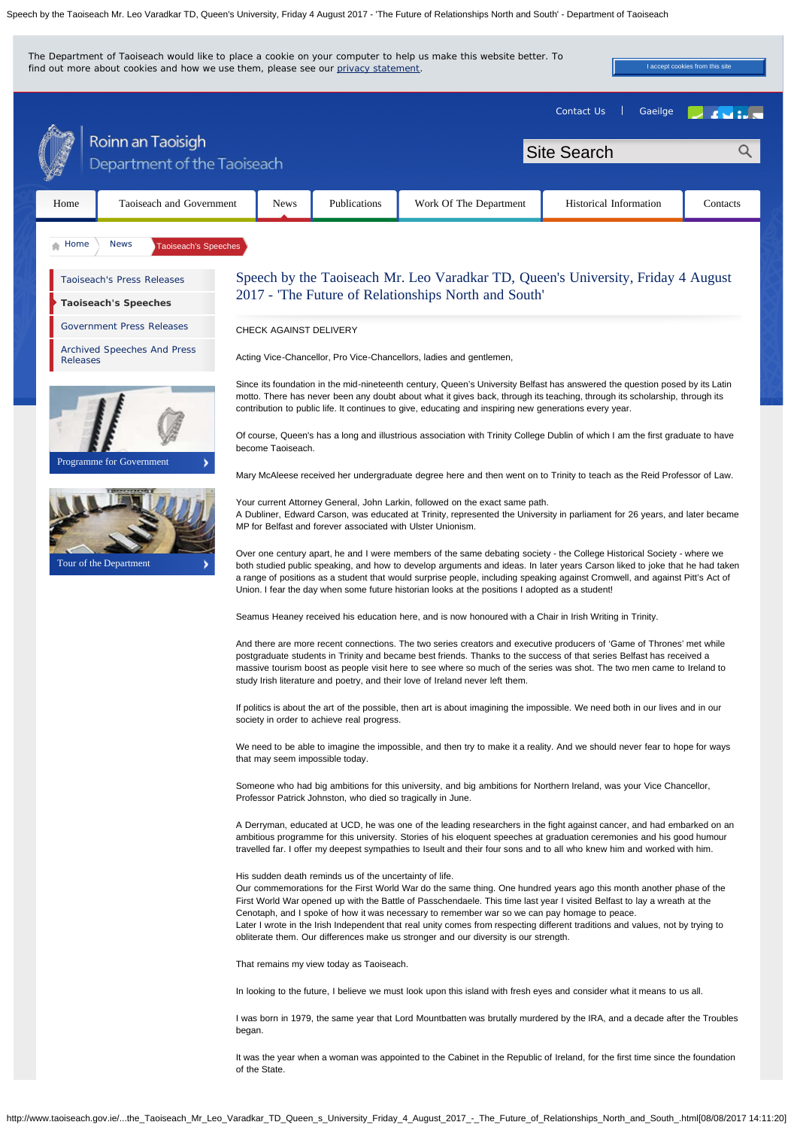

I was born in 1979, the same year that Lord Mountbatten was brutally murdered by the IRA, and a decade after the Troubles began.

It was the year when a woman was appointed to the Cabinet in the Republic of Ireland, for the first time since the foundation of the State.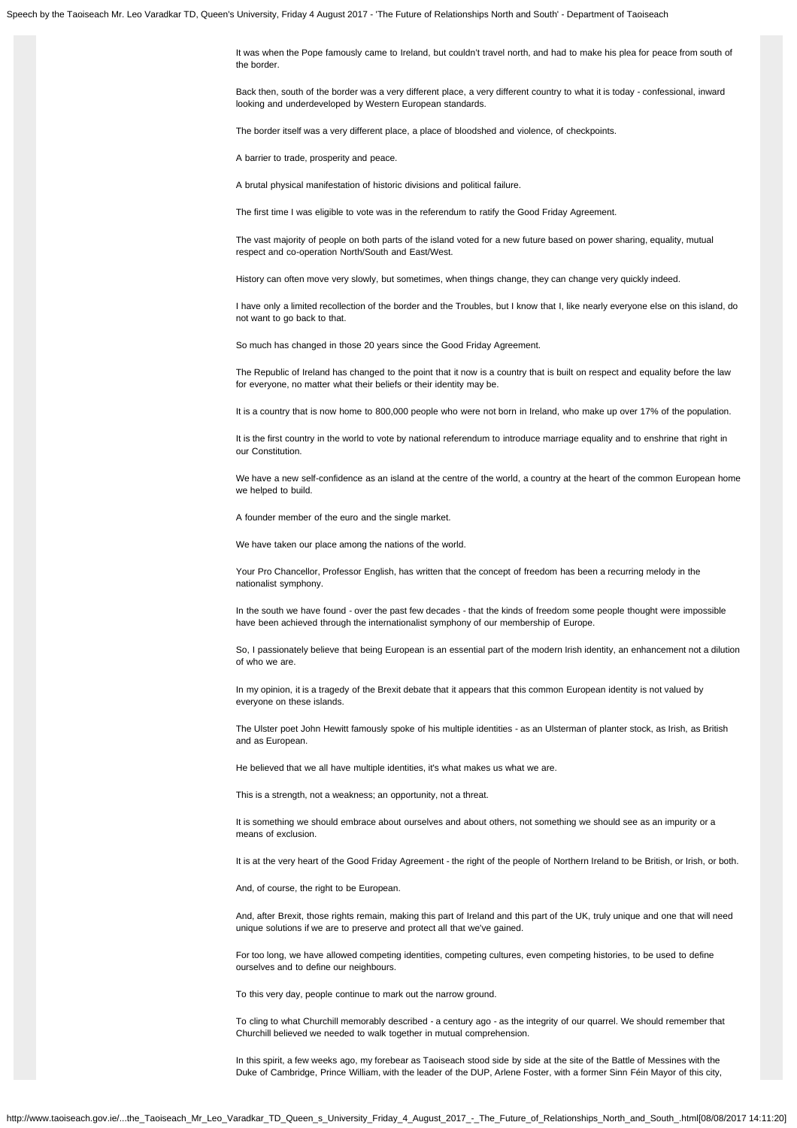It was when the Pope famously came to Ireland, but couldn't travel north, and had to make his plea for peace from south of the border.

Back then, south of the border was a very different place, a very different country to what it is today - confessional, inward looking and underdeveloped by Western European standards.

The border itself was a very different place, a place of bloodshed and violence, of checkpoints.

A barrier to trade, prosperity and peace.

A brutal physical manifestation of historic divisions and political failure.

The first time I was eligible to vote was in the referendum to ratify the Good Friday Agreement.

The vast majority of people on both parts of the island voted for a new future based on power sharing, equality, mutual respect and co-operation North/South and East/West.

History can often move very slowly, but sometimes, when things change, they can change very quickly indeed.

I have only a limited recollection of the border and the Troubles, but I know that I, like nearly everyone else on this island, do not want to go back to that.

So much has changed in those 20 years since the Good Friday Agreement.

The Republic of Ireland has changed to the point that it now is a country that is built on respect and equality before the law for everyone, no matter what their beliefs or their identity may be.

It is a country that is now home to 800,000 people who were not born in Ireland, who make up over 17% of the population.

It is the first country in the world to vote by national referendum to introduce marriage equality and to enshrine that right in our Constitution.

We have a new self-confidence as an island at the centre of the world, a country at the heart of the common European home we helped to build.

A founder member of the euro and the single market.

We have taken our place among the nations of the world.

Your Pro Chancellor, Professor English, has written that the concept of freedom has been a recurring melody in the nationalist symphony.

In the south we have found - over the past few decades - that the kinds of freedom some people thought were impossible have been achieved through the internationalist symphony of our membership of Europe.

So, I passionately believe that being European is an essential part of the modern Irish identity, an enhancement not a dilution of who we are.

In my opinion, it is a tragedy of the Brexit debate that it appears that this common European identity is not valued by everyone on these islands.

The Ulster poet John Hewitt famously spoke of his multiple identities - as an Ulsterman of planter stock, as Irish, as British and as European.

He believed that we all have multiple identities, it's what makes us what we are.

This is a strength, not a weakness; an opportunity, not a threat.

It is something we should embrace about ourselves and about others, not something we should see as an impurity or a means of exclusion.

It is at the very heart of the Good Friday Agreement - the right of the people of Northern Ireland to be British, or Irish, or both.

And, of course, the right to be European.

And, after Brexit, those rights remain, making this part of Ireland and this part of the UK, truly unique and one that will need unique solutions if we are to preserve and protect all that we've gained.

For too long, we have allowed competing identities, competing cultures, even competing histories, to be used to define ourselves and to define our neighbours.

To this very day, people continue to mark out the narrow ground.

To cling to what Churchill memorably described - a century ago - as the integrity of our quarrel. We should remember that Churchill believed we needed to walk together in mutual comprehension.

In this spirit, a few weeks ago, my forebear as Taoiseach stood side by side at the site of the Battle of Messines with the Duke of Cambridge, Prince William, with the leader of the DUP, Arlene Foster, with a former Sinn Féin Mayor of this city,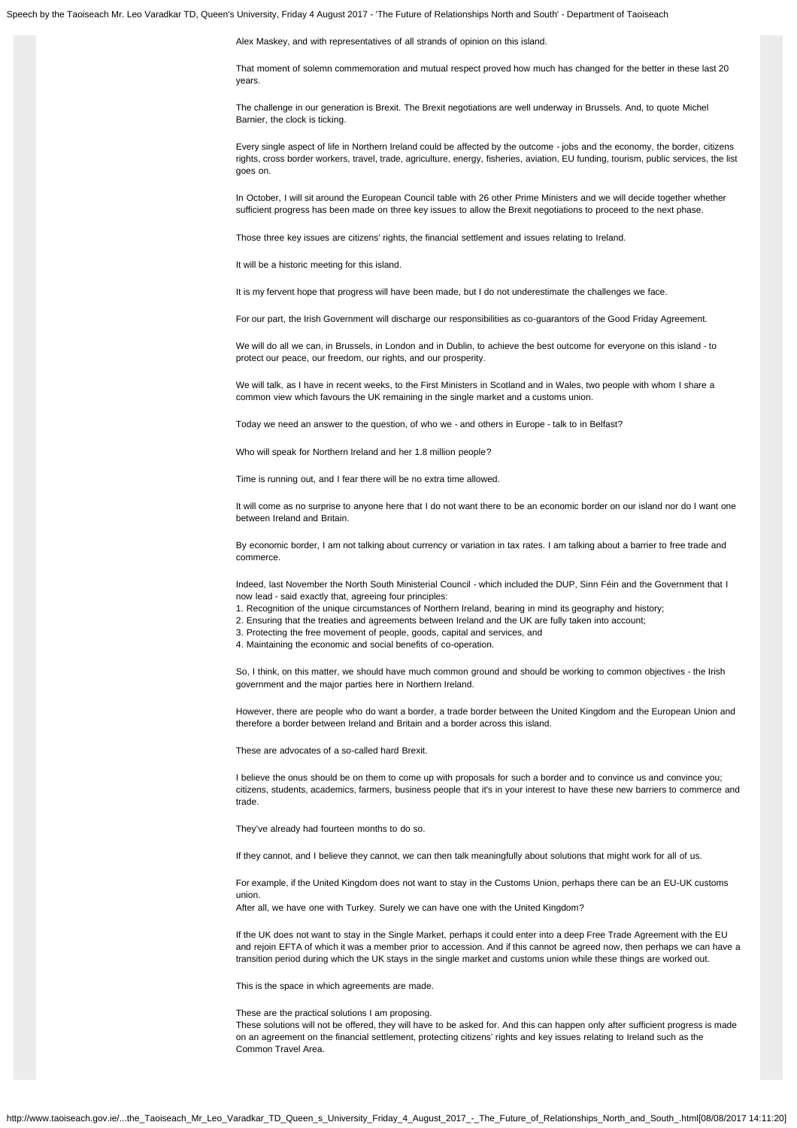Alex Maskey, and with representatives of all strands of opinion on this island.

That moment of solemn commemoration and mutual respect proved how much has changed for the better in these last 20 years.

The challenge in our generation is Brexit. The Brexit negotiations are well underway in Brussels. And, to quote Michel Barnier, the clock is ticking.

Every single aspect of life in Northern Ireland could be affected by the outcome - jobs and the economy, the border, citizens rights, cross border workers, travel, trade, agriculture, energy, fisheries, aviation, EU funding, tourism, public services, the list goes on.

In October, I will sit around the European Council table with 26 other Prime Ministers and we will decide together whether sufficient progress has been made on three key issues to allow the Brexit negotiations to proceed to the next phase.

Those three key issues are citizens' rights, the financial settlement and issues relating to Ireland.

It will be a historic meeting for this island.

It is my fervent hope that progress will have been made, but I do not underestimate the challenges we face.

For our part, the Irish Government will discharge our responsibilities as co-guarantors of the Good Friday Agreement.

We will do all we can, in Brussels, in London and in Dublin, to achieve the best outcome for everyone on this island - to protect our peace, our freedom, our rights, and our prosperity.

We will talk, as I have in recent weeks, to the First Ministers in Scotland and in Wales, two people with whom I share a common view which favours the UK remaining in the single market and a customs union.

Today we need an answer to the question, of who we - and others in Europe - talk to in Belfast?

Who will speak for Northern Ireland and her 1.8 million people?

Time is running out, and I fear there will be no extra time allowed.

It will come as no surprise to anyone here that I do not want there to be an economic border on our island nor do I want one between Ireland and Britain.

By economic border, I am not talking about currency or variation in tax rates. I am talking about a barrier to free trade and commerce.

Indeed, last November the North South Ministerial Council - which included the DUP, Sinn Féin and the Government that I now lead - said exactly that, agreeing four principles:

1. Recognition of the unique circumstances of Northern Ireland, bearing in mind its geography and history;

2. Ensuring that the treaties and agreements between Ireland and the UK are fully taken into account;

3. Protecting the free movement of people, goods, capital and services, and

4. Maintaining the economic and social benefits of co-operation.

So, I think, on this matter, we should have much common ground and should be working to common objectives - the Irish government and the major parties here in Northern Ireland.

However, there are people who do want a border, a trade border between the United Kingdom and the European Union and therefore a border between Ireland and Britain and a border across this island.

These are advocates of a so-called hard Brexit.

I believe the onus should be on them to come up with proposals for such a border and to convince us and convince you; citizens, students, academics, farmers, business people that it's in your interest to have these new barriers to commerce and trade.

They've already had fourteen months to do so.

If they cannot, and I believe they cannot, we can then talk meaningfully about solutions that might work for all of us.

For example, if the United Kingdom does not want to stay in the Customs Union, perhaps there can be an EU-UK customs union.

After all, we have one with Turkey. Surely we can have one with the United Kingdom?

If the UK does not want to stay in the Single Market, perhaps it could enter into a deep Free Trade Agreement with the EU and rejoin EFTA of which it was a member prior to accession. And if this cannot be agreed now, then perhaps we can have a transition period during which the UK stays in the single market and customs union while these things are worked out.

This is the space in which agreements are made.

These are the practical solutions I am proposing.

These solutions will not be offered, they will have to be asked for. And this can happen only after sufficient progress is made on an agreement on the financial settlement, protecting citizens' rights and key issues relating to Ireland such as the Common Travel Area.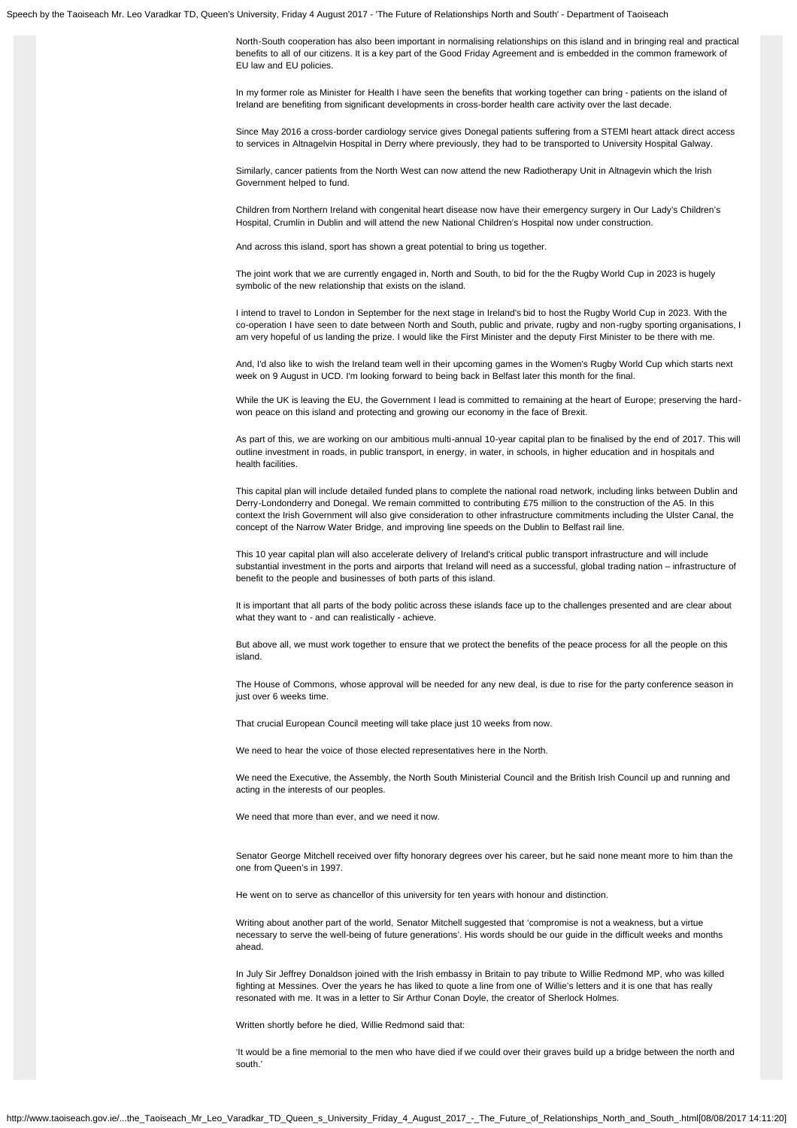North-South cooperation has also been important in normalising relationships on this island and in bringing real and practical benefits to all of our citizens. It is a key part of the Good Friday Agreement and is embedded in the common framework of EU law and EU policies.

In my former role as Minister for Health I have seen the benefits that working together can bring - patients on the island of Ireland are benefiting from significant developments in cross-border health care activity over the last decade.

Since May 2016 a cross-border cardiology service gives Donegal patients suffering from a STEMI heart attack direct access to services in Altnagelvin Hospital in Derry where previously, they had to be transported to University Hospital Galway.

Similarly, cancer patients from the North West can now attend the new Radiotherapy Unit in Altnagevin which the Irish Government helped to fund.

Children from Northern Ireland with congenital heart disease now have their emergency surgery in Our Lady's Children's Hospital, Crumlin in Dublin and will attend the new National Children's Hospital now under construction.

And across this island, sport has shown a great potential to bring us together.

The joint work that we are currently engaged in, North and South, to bid for the the Rugby World Cup in 2023 is hugely symbolic of the new relationship that exists on the island.

I intend to travel to London in September for the next stage in Ireland's bid to host the Rugby World Cup in 2023. With the co-operation I have seen to date between North and South, public and private, rugby and non-rugby sporting organisations, I am very hopeful of us landing the prize. I would like the First Minister and the deputy First Minister to be there with me.

And, I'd also like to wish the Ireland team well in their upcoming games in the Women's Rugby World Cup which starts next week on 9 August in UCD. I'm looking forward to being back in Belfast later this month for the final.

While the UK is leaving the EU, the Government I lead is committed to remaining at the heart of Europe; preserving the hardwon peace on this island and protecting and growing our economy in the face of Brexit.

As part of this, we are working on our ambitious multi-annual 10-year capital plan to be finalised by the end of 2017. This will outline investment in roads, in public transport, in energy, in water, in schools, in higher education and in hospitals and health facilities.

This capital plan will include detailed funded plans to complete the national road network, including links between Dublin and Derry-Londonderry and Donegal. We remain committed to contributing £75 million to the construction of the A5. In this context the Irish Government will also give consideration to other infrastructure commitments including the Ulster Canal, the concept of the Narrow Water Bridge, and improving line speeds on the Dublin to Belfast rail line.

This 10 year capital plan will also accelerate delivery of Ireland's critical public transport infrastructure and will include substantial investment in the ports and airports that Ireland will need as a successful, global trading nation – infrastructure of benefit to the people and businesses of both parts of this island.

It is important that all parts of the body politic across these islands face up to the challenges presented and are clear about what they want to - and can realistically - achieve.

But above all, we must work together to ensure that we protect the benefits of the peace process for all the people on this island.

The House of Commons, whose approval will be needed for any new deal, is due to rise for the party conference season in just over 6 weeks time.

That crucial European Council meeting will take place just 10 weeks from now.

We need to hear the voice of those elected representatives here in the North.

We need the Executive, the Assembly, the North South Ministerial Council and the British Irish Council up and running and acting in the interests of our peoples.

We need that more than ever, and we need it now.

Senator George Mitchell received over fifty honorary degrees over his career, but he said none meant more to him than the one from Queen's in 1997.

He went on to serve as chancellor of this university for ten years with honour and distinction.

Writing about another part of the world, Senator Mitchell suggested that 'compromise is not a weakness, but a virtue necessary to serve the well-being of future generations'. His words should be our guide in the difficult weeks and months ahead.

In July Sir Jeffrey Donaldson joined with the Irish embassy in Britain to pay tribute to Willie Redmond MP, who was killed fighting at Messines. Over the years he has liked to quote a line from one of Willie's letters and it is one that has really resonated with me. It was in a letter to Sir Arthur Conan Doyle, the creator of Sherlock Holmes.

Written shortly before he died, Willie Redmond said that:

'It would be a fine memorial to the men who have died if we could over their graves build up a bridge between the north and south.'